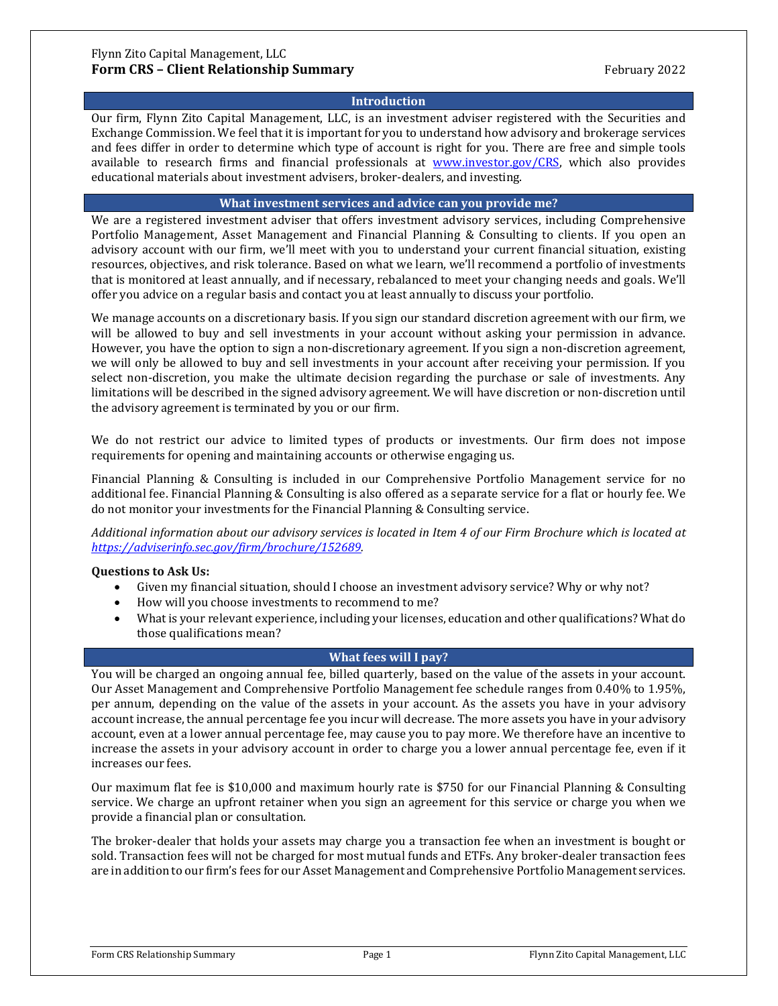#### **Introduction**

Our firm, Flynn Zito Capital Management, LLC, is an investment adviser registered with the Securities and Exchange Commission. We feel that it is important for you to understand how advisory and brokerage services and fees differ in order to determine which type of account is right for you. There are free and simple tools available to research firms and financial professionals at [www.investor.gov/CRS,](http://www.investor.gov/CRS) which also provides educational materials about investment advisers, broker-dealers, and investing.

#### **What investment services and advice can you provide me?**

We are a registered investment adviser that offers investment advisory services, including Comprehensive Portfolio Management, Asset Management and Financial Planning & Consulting to clients. If you open an advisory account with our firm, we'll meet with you to understand your current financial situation, existing resources, objectives, and risk tolerance. Based on what we learn, we'll recommend a portfolio of investments that is monitored at least annually, and if necessary, rebalanced to meet your changing needs and goals. We'll offer you advice on a regular basis and contact you at least annually to discuss your portfolio.

We manage accounts on a discretionary basis. If you sign our standard discretion agreement with our firm, we will be allowed to buy and sell investments in your account without asking your permission in advance. However, you have the option to sign a non-discretionary agreement. If you sign a non-discretion agreement, we will only be allowed to buy and sell investments in your account after receiving your permission. If you select non-discretion, you make the ultimate decision regarding the purchase or sale of investments. Any limitations will be described in the signed advisory agreement. We will have discretion or non-discretion until the advisory agreement is terminated by you or our firm.

We do not restrict our advice to limited types of products or investments. Our firm does not impose requirements for opening and maintaining accounts or otherwise engaging us.

Financial Planning & Consulting is included in our Comprehensive Portfolio Management service for no additional fee. Financial Planning & Consulting is also offered as a separate service for a flat or hourly fee. We do not monitor your investments for the Financial Planning & Consulting service.

*Additional information about our advisory services is located in Item 4 of our Firm Brochure which is located at [https://adviserinfo.sec.gov/firm/brochure/152689.](https://adviserinfo.sec.gov/firm/brochure/152689)*

## **Questions to Ask Us:**

- Given my financial situation, should I choose an investment advisory service? Why or why not?
- How will you choose investments to recommend to me?
- What is your relevant experience, including your licenses, education and other qualifications? What do those qualifications mean?

#### **What fees will I pay?**

You will be charged an ongoing annual fee, billed quarterly, based on the value of the assets in your account. Our Asset Management and Comprehensive Portfolio Management fee schedule ranges from 0.40% to 1.95%, per annum, depending on the value of the assets in your account. As the assets you have in your advisory account increase, the annual percentage fee you incur will decrease. The more assets you have in your advisory account, even at a lower annual percentage fee, may cause you to pay more. We therefore have an incentive to increase the assets in your advisory account in order to charge you a lower annual percentage fee, even if it increases our fees.

Our maximum flat fee is \$10,000 and maximum hourly rate is \$750 for our Financial Planning & Consulting service. We charge an upfront retainer when you sign an agreement for this service or charge you when we provide a financial plan or consultation.

The broker-dealer that holds your assets may charge you a transaction fee when an investment is bought or sold. Transaction fees will not be charged for most mutual funds and ETFs. Any broker-dealer transaction fees are in addition to our firm's fees for our Asset Management and Comprehensive Portfolio Management services.